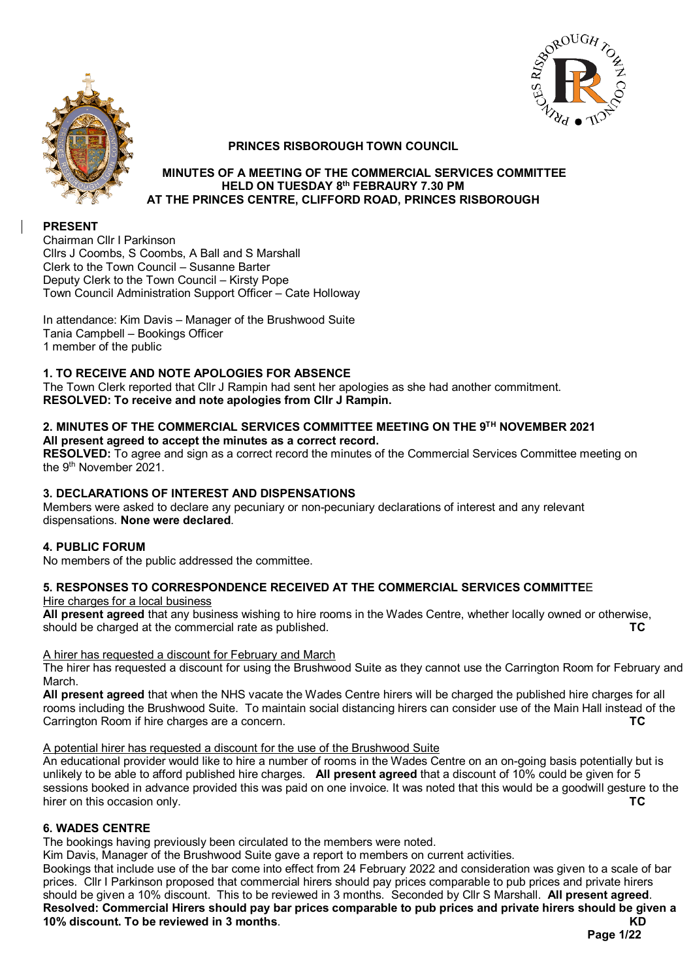



# **PRINCES RISBOROUGH TOWN COUNCIL**

### **MINUTES OF A MEETING OF THE COMMERCIAL SERVICES COMMITTEE HELD ON TUESDAY 8th FEBRAURY 7.30 PM AT THE PRINCES CENTRE, CLIFFORD ROAD, PRINCES RISBOROUGH**

# **PRESENT**

Chairman Cllr I Parkinson Cllrs J Coombs, S Coombs, A Ball and S Marshall Clerk to the Town Council – Susanne Barter Deputy Clerk to the Town Council – Kirsty Pope Town Council Administration Support Officer – Cate Holloway

In attendance: Kim Davis – Manager of the Brushwood Suite Tania Campbell – Bookings Officer 1 member of the public

# **1. TO RECEIVE AND NOTE APOLOGIES FOR ABSENCE**

The Town Clerk reported that Cllr J Rampin had sent her apologies as she had another commitment. **RESOLVED: To receive and note apologies from Cllr J Rampin.**

#### **2. MINUTES OF THE COMMERCIAL SERVICES COMMITTEE MEETING ON THE 9TH NOVEMBER 2021 All present agreed to accept the minutes as a correct record.**

**RESOLVED:** To agree and sign as a correct record the minutes of the Commercial Services Committee meeting on the 9th November 2021.

# **3. DECLARATIONS OF INTEREST AND DISPENSATIONS**

Members were asked to declare any pecuniary or non-pecuniary declarations of interest and any relevant dispensations. **None were declared**.

### **4. PUBLIC FORUM**

No members of the public addressed the committee.

# **5. RESPONSES TO CORRESPONDENCE RECEIVED AT THE COMMERCIAL SERVICES COMMITTE**E

Hire charges for a local business

**All present agreed** that any business wishing to hire rooms in the Wades Centre, whether locally owned or otherwise, should be charged at the commercial rate as published. **TC** 

### A hirer has requested a discount for February and March

The hirer has requested a discount for using the Brushwood Suite as they cannot use the Carrington Room for February and March.

**All present agreed** that when the NHS vacate the Wades Centre hirers will be charged the published hire charges for all rooms including the Brushwood Suite. To maintain social distancing hirers can consider use of the Main Hall instead of the Carrington Room if hire charges are a concern Carrington Room if hire charges are a concern.

### A potential hirer has requested a discount for the use of the Brushwood Suite

An educational provider would like to hire a number of rooms in the Wades Centre on an on-going basis potentially but is unlikely to be able to afford published hire charges. **All present agreed** that a discount of 10% could be given for 5 sessions booked in advance provided this was paid on one invoice. It was noted that this would be a goodwill gesture to the birer on this occasion only hirer on this occasion only.

### **6. WADES CENTRE**

The bookings having previously been circulated to the members were noted.

Kim Davis, Manager of the Brushwood Suite gave a report to members on current activities.

Bookings that include use of the bar come into effect from 24 February 2022 and consideration was given to a scale of bar prices. Cllr I Parkinson proposed that commercial hirers should pay prices comparable to pub prices and private hirers should be given a 10% discount. This to be reviewed in 3 months. Seconded by Cllr S Marshall. **All present agreed**. **Resolved: Commercial Hirers should pay bar prices comparable to pub prices and private hirers should be given a 10% discount. To be reviewed in 3 months**. **KD**